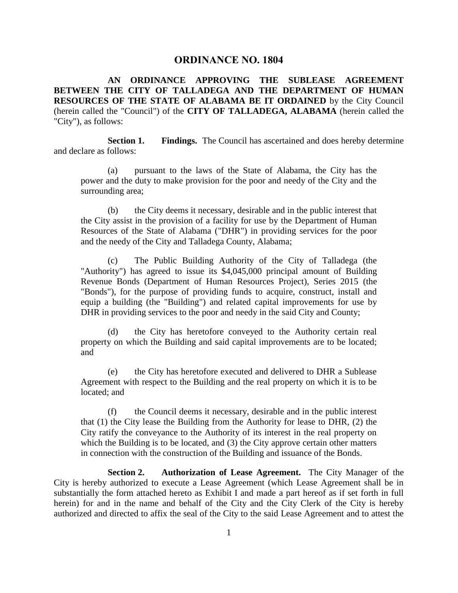## **ORDINANCE NO. 1804**

**AN ORDINANCE APPROVING THE SUBLEASE AGREEMENT BETWEEN THE CITY OF TALLADEGA AND THE DEPARTMENT OF HUMAN RESOURCES OF THE STATE OF ALABAMA BE IT ORDAINED** by the City Council (herein called the "Council") of the **CITY OF TALLADEGA, ALABAMA** (herein called the "City"), as follows:

**Section 1. Findings.** The Council has ascertained and does hereby determine and declare as follows:

(a) pursuant to the laws of the State of Alabama, the City has the power and the duty to make provision for the poor and needy of the City and the surrounding area;

(b) the City deems it necessary, desirable and in the public interest that the City assist in the provision of a facility for use by the Department of Human Resources of the State of Alabama ("DHR") in providing services for the poor and the needy of the City and Talladega County, Alabama;

(c) The Public Building Authority of the City of Talladega (the "Authority") has agreed to issue its \$4,045,000 principal amount of Building Revenue Bonds (Department of Human Resources Project), Series 2015 (the "Bonds"), for the purpose of providing funds to acquire, construct, install and equip a building (the "Building") and related capital improvements for use by DHR in providing services to the poor and needy in the said City and County;

(d) the City has heretofore conveyed to the Authority certain real property on which the Building and said capital improvements are to be located; and

(e) the City has heretofore executed and delivered to DHR a Sublease Agreement with respect to the Building and the real property on which it is to be located; and

(f) the Council deems it necessary, desirable and in the public interest that (1) the City lease the Building from the Authority for lease to DHR, (2) the City ratify the conveyance to the Authority of its interest in the real property on which the Building is to be located, and (3) the City approve certain other matters in connection with the construction of the Building and issuance of the Bonds.

**Section 2. Authorization of Lease Agreement.** The City Manager of the City is hereby authorized to execute a Lease Agreement (which Lease Agreement shall be in substantially the form attached hereto as Exhibit I and made a part hereof as if set forth in full herein) for and in the name and behalf of the City and the City Clerk of the City is hereby authorized and directed to affix the seal of the City to the said Lease Agreement and to attest the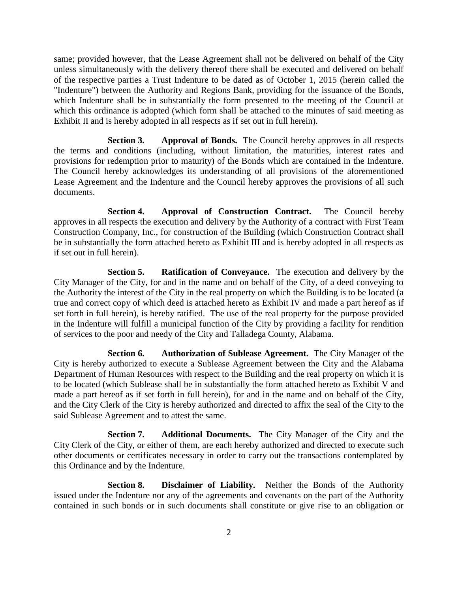same; provided however, that the Lease Agreement shall not be delivered on behalf of the City unless simultaneously with the delivery thereof there shall be executed and delivered on behalf of the respective parties a Trust Indenture to be dated as of October 1, 2015 (herein called the "Indenture") between the Authority and Regions Bank, providing for the issuance of the Bonds, which Indenture shall be in substantially the form presented to the meeting of the Council at which this ordinance is adopted (which form shall be attached to the minutes of said meeting as Exhibit II and is hereby adopted in all respects as if set out in full herein).

**Section 3. Approval of Bonds.** The Council hereby approves in all respects the terms and conditions (including, without limitation, the maturities, interest rates and provisions for redemption prior to maturity) of the Bonds which are contained in the Indenture. The Council hereby acknowledges its understanding of all provisions of the aforementioned Lease Agreement and the Indenture and the Council hereby approves the provisions of all such documents.

**Section 4. Approval of Construction Contract.** The Council hereby approves in all respects the execution and delivery by the Authority of a contract with First Team Construction Company, Inc., for construction of the Building (which Construction Contract shall be in substantially the form attached hereto as Exhibit III and is hereby adopted in all respects as if set out in full herein).

**Section 5. Ratification of Conveyance.** The execution and delivery by the City Manager of the City, for and in the name and on behalf of the City, of a deed conveying to the Authority the interest of the City in the real property on which the Building is to be located (a true and correct copy of which deed is attached hereto as Exhibit IV and made a part hereof as if set forth in full herein), is hereby ratified. The use of the real property for the purpose provided in the Indenture will fulfill a municipal function of the City by providing a facility for rendition of services to the poor and needy of the City and Talladega County, Alabama.

**Section 6. Authorization of Sublease Agreement.** The City Manager of the City is hereby authorized to execute a Sublease Agreement between the City and the Alabama Department of Human Resources with respect to the Building and the real property on which it is to be located (which Sublease shall be in substantially the form attached hereto as Exhibit V and made a part hereof as if set forth in full herein), for and in the name and on behalf of the City, and the City Clerk of the City is hereby authorized and directed to affix the seal of the City to the said Sublease Agreement and to attest the same.

**Section 7. Additional Documents.** The City Manager of the City and the City Clerk of the City, or either of them, are each hereby authorized and directed to execute such other documents or certificates necessary in order to carry out the transactions contemplated by this Ordinance and by the Indenture.

**Section 8. Disclaimer of Liability.** Neither the Bonds of the Authority issued under the Indenture nor any of the agreements and covenants on the part of the Authority contained in such bonds or in such documents shall constitute or give rise to an obligation or